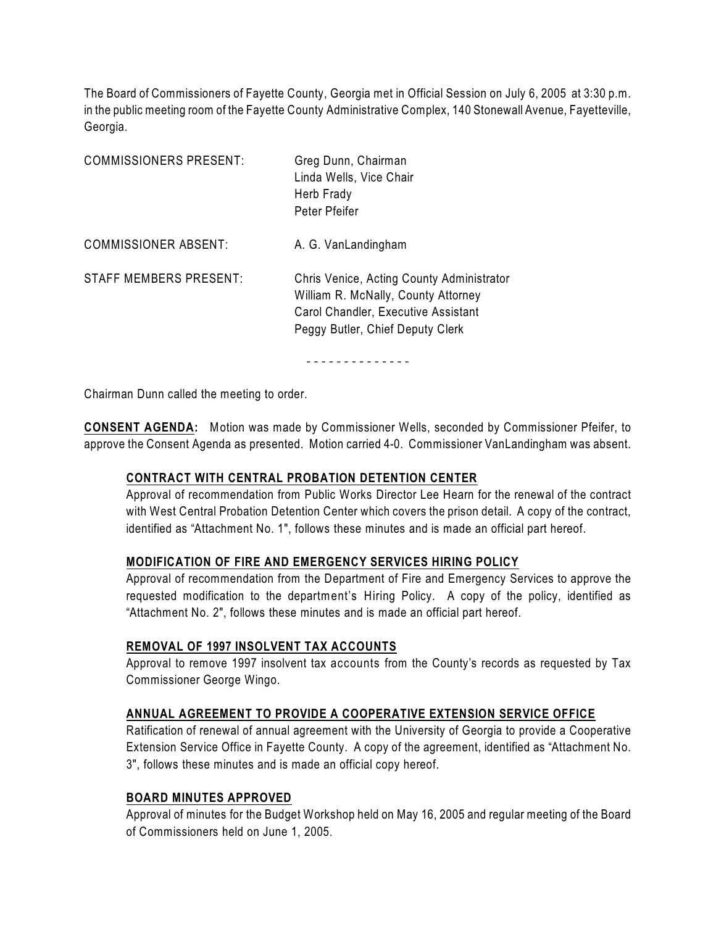The Board of Commissioners of Fayette County, Georgia met in Official Session on July 6, 2005 at 3:30 p.m. in the public meeting room of the Fayette County Administrative Complex, 140 Stonewall Avenue, Fayetteville, Georgia.

| <b>COMMISSIONERS PRESENT:</b> | Greg Dunn, Chairman<br>Linda Wells, Vice Chair<br>Herb Frady<br>Peter Pfeifer                                                                               |
|-------------------------------|-------------------------------------------------------------------------------------------------------------------------------------------------------------|
| <b>COMMISSIONER ABSENT:</b>   | A. G. VanLandingham                                                                                                                                         |
| STAFF MEMBERS PRESENT:        | Chris Venice, Acting County Administrator<br>William R. McNally, County Attorney<br>Carol Chandler, Executive Assistant<br>Peggy Butler, Chief Deputy Clerk |

- - - - - - - - - - - - - -

Chairman Dunn called the meeting to order.

**CONSENT AGENDA:** Motion was made by Commissioner Wells, seconded by Commissioner Pfeifer, to approve the Consent Agenda as presented. Motion carried 4-0. Commissioner VanLandingham was absent.

### **CONTRACT WITH CENTRAL PROBATION DETENTION CENTER**

Approval of recommendation from Public Works Director Lee Hearn for the renewal of the contract with West Central Probation Detention Center which covers the prison detail. A copy of the contract, identified as "Attachment No. 1", follows these minutes and is made an official part hereof.

### **MODIFICATION OF FIRE AND EMERGENCY SERVICES HIRING POLICY**

Approval of recommendation from the Department of Fire and Emergency Services to approve the requested modification to the department's Hiring Policy. A copy of the policy, identified as "Attachment No. 2", follows these minutes and is made an official part hereof.

### **REMOVAL OF 1997 INSOLVENT TAX ACCOUNTS**

Approval to remove 1997 insolvent tax accounts from the County's records as requested by Tax Commissioner George Wingo.

### **ANNUAL AGREEMENT TO PROVIDE A COOPERATIVE EXTENSION SERVICE OFFICE**

Ratification of renewal of annual agreement with the University of Georgia to provide a Cooperative Extension Service Office in Fayette County. A copy of the agreement, identified as "Attachment No. 3", follows these minutes and is made an official copy hereof.

### **BOARD MINUTES APPROVED**

Approval of minutes for the Budget Workshop held on May 16, 2005 and regular meeting of the Board of Commissioners held on June 1, 2005.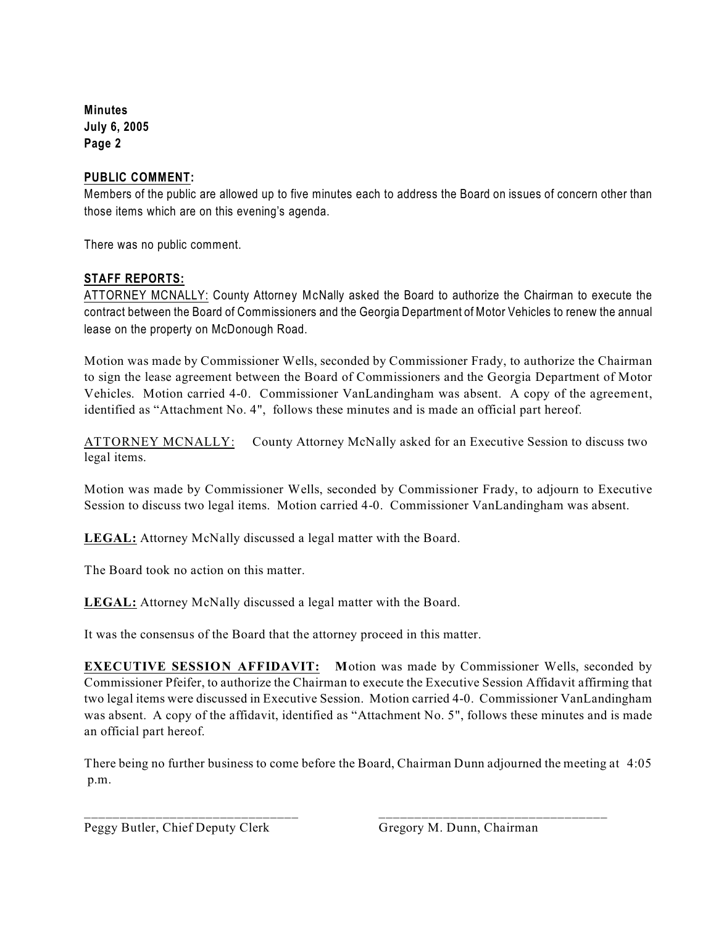**Minutes July 6, 2005 Page 2**

## **PUBLIC COMMENT:**

Members of the public are allowed up to five minutes each to address the Board on issues of concern other than those items which are on this evening's agenda.

There was no public comment.

# **STAFF REPORTS:**

ATTORNEY MCNALLY: County Attorney McNally asked the Board to authorize the Chairman to execute the contract between the Board of Commissioners and the Georgia Department of Motor Vehicles to renew the annual lease on the property on McDonough Road.

Motion was made by Commissioner Wells, seconded by Commissioner Frady, to authorize the Chairman to sign the lease agreement between the Board of Commissioners and the Georgia Department of Motor Vehicles. Motion carried 4-0. Commissioner VanLandingham was absent.A copy of the agreement, identified as "Attachment No. 4", follows these minutes and is made an official part hereof.

ATTORNEY MCNALLY: County Attorney McNally asked for an Executive Session to discuss two legal items.

Motion was made by Commissioner Wells, seconded by Commissioner Frady, to adjourn to Executive Session to discuss two legal items. Motion carried 4-0. Commissioner VanLandingham was absent.

**LEGAL:** Attorney McNally discussed a legal matter with the Board.

The Board took no action on this matter.

**LEGAL:** Attorney McNally discussed a legal matter with the Board.

It was the consensus of the Board that the attorney proceed in this matter.

**EXECUTIVE SESSION AFFIDAVIT: M**otion was made by Commissioner Wells, seconded by Commissioner Pfeifer, to authorize the Chairman to execute the Executive Session Affidavit affirming that two legal items were discussed in Executive Session. Motion carried 4-0. Commissioner VanLandingham was absent. A copy of the affidavit, identified as "Attachment No. 5", follows these minutes and is made an official part hereof.

There being no further business to come before the Board, Chairman Dunn adjourned the meeting at 4:05 p.m.

\_\_\_\_\_\_\_\_\_\_\_\_\_\_\_\_\_\_\_\_\_\_\_\_\_\_\_\_\_\_ \_\_\_\_\_\_\_\_\_\_\_\_\_\_\_\_\_\_\_\_\_\_\_\_\_\_\_\_\_\_\_\_

Peggy Butler, Chief Deputy Clerk Gregory M. Dunn, Chairman